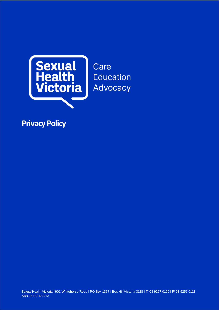

Care **Education** Advocacy

**Privacy Policy**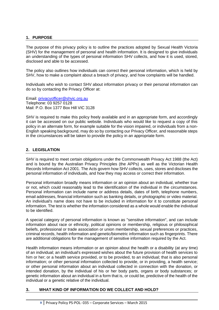## **1. PURPOSE**

The purpose of this privacy policy is to outline the practices adopted by Sexual Health Victoria (SHV) for the management of personal and health information. It is designed to give individuals an understanding of the types of personal information SHV collects, and how it is used, stored, disclosed and able to be accessed.

The policy also outlines how individuals can correct their personal information, which is held by SHV, how to make a complaint about a breach of privacy, and how complaints will be handled.

Individuals who wish to contact SHV about information privacy or their personal information can do so by contacting the Privacy Officer at:

Email: [privacyofficer@shvic.org.au](mailto:privacyofficer@shvic.org.au) Telephone: 03 9257 0128 Mail: P.O. Box 1377 Box Hill VIC 3128

SHV is required to make this policy freely available and in an appropriate form, and accordingly it can be accessed on our public website. Individuals who would like to request a copy of this policy in an alternate form, for example suitable for the vision impaired, or individuals from a non-English speaking background, may do so by contacting our Privacy Officer, and reasonable steps in the circumstances will be taken to provide the policy in an appropriate form.

# **2. LEGISLATION**

SHV is required to meet certain obligations under the Commonwealth Privacy Act 1988 (the Act) and is bound by the Australian Privacy Principles (the APPs) as well as the Victorian Health Records Information Act 2001. The Acts govern how SHV collects, uses, stores and discloses the personal information of individuals, and how they may access or correct their information.

Personal information broadly means information or an opinion about an individual, whether true or not, which could reasonably lead to the identification of the individual in the circumstances. Personal information can include name or address details, dates of birth, telephone numbers, email addresses, financial information such as banking details, or photographic or video material. An individual's name does not have to be included in information for it to constitute personal information. The test is whether the information considered as a whole would enable the individual to be identified.

A special category of personal information is known as "sensitive information", and can include information about race or ethnicity, political opinions or membership, religious or philosophical beliefs, professional or trade association or union membership, sexual preferences or practices, criminal records, health information and genetic/biometric information such as fingerprints. There are additional obligations for the management of sensitive information required by the Act.

Health information means information or an opinion about the health or a disability (at any time) of an individual; an individual's expressed wishes about the future provision of health services to him or her; or a health service provided, or to be provided, to an individual; that is also personal information; or other personal information collected to provide, or in providing, a health service; or other personal information about an individual collected in connection with the donation, or intended donation, by the individual of his or her body parts, organs or body substances; or genetic information about an individual in a form that is, or could be, predictive of the health of the individual or a genetic relative of the individual.

## **3. WHAT KIND OF INFORMATION DO WE COLLECT AND HOLD?**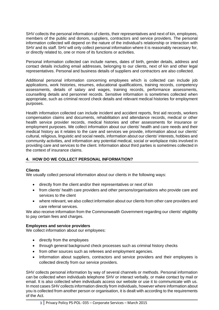SHV collects the personal information of clients, their representatives and next of kin, employees, members of the public and donors, suppliers, contractors and service providers. The personal information collected will depend on the nature of the individual's relationship or interaction with SHV and its staff. SHV will only collect personal information where it is reasonably necessary for, or directly related to, one or more of its functions or activities.

Personal information collected can include names, dates of birth, gender details, address and contact details including email addresses, belonging to our clients, next of kin and other legal representatives. Personal and business details of suppliers and contractors are also collected.

Additional personal information concerning employees which is collected can include job applications, work histories, resumes, educational qualifications, training records, competency assessments, details of salary and wages, training records, performance assessments, counselling details and personnel records. Sensitive information is sometimes collected when appropriate, such as criminal record check details and relevant medical histories for employment purposes.

Health information collected can include incident and accident reports, first aid records, workers compensation claims and documents, rehabilitation and attendance records, medical or other health service provider records, medical histories and other assessments for insurance or employment purposes. We collect information about our clients' health and care needs and their medical history as it relates to the care and services we provide, information about our clients' cultural, religious, linguistic and social needs, information about our clients' interests, hobbies and community activities, and information any potential medical, social or workplace risks involved in providing care and services to the client. Information about third parties is sometimes collected in the context of insurance claims.

# **4. HOW DO WE COLLECT PERSONAL INFORMATION?**

## **Clients**

We usually collect personal information about our clients in the following ways:

- directly from the client and/or their representatives or next of kin
- from clients' health care providers and other persons/organisations who provide care and services to the client
- where relevant, we also collect information about our clients from other care providers and care referral services.

We also receive information from the Commonwealth Government regarding our clients' eligibility to pay certain fees and charges.

## **Employees and service providers**

We collect information about our employees:

- directly from the employees
- through general background check processes such as criminal history checks
- from other sources such as referees and employment agencies.
- Information about suppliers, contractors and service providers and their employees is collected directly from our service providers.

SHV collects personal information by way of several channels or methods. Personal information can be collected when individuals telephone SHV or interact verbally, or make contact by mail or email. It is also collected when individuals access our website or use it to communicate with us. In most cases SHV collects information directly from individuals, however where information about you is collected from another person or organisation, it is dealt with according to the requirements of the Act.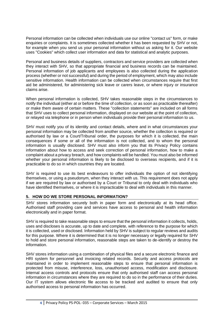Personal information can be collected when individuals use our online "contact us" form, or make enquiries or complaints. It is sometimes collected whether it has been requested by SHV or not, for example when you send us your personal information without us asking for it. Our website uses "Cookies" which collect user information and data for statistical and analytic purposes.

Personal and business details of suppliers, contractors and service providers are collected when they interact with SHV, so that appropriate financial and business records can be maintained. Personal information of job applicants and employees is also collected during the application process (whether or not successful) and during the period of employment, which may also include sensitive information. Health information can be collected when circumstances require that first aid be administered, for administering sick leave or carers leave, or where injury or insurance claims arise.

When personal information is collected, SHV takes reasonable steps in the circumstances to notify the individual (either at or before the time of collection, or as soon as practicable thereafter) or make them aware of certain matters. These "collection statements" are included on all forms that SHV uses to collect personal information, displayed on our website at the point of collection, or relayed via telephone or in person when individuals provide their personal information to us.

SHV must notify you of its identity and contact details, where and in what circumstances your personal information may be collected from another source, whether the collection is required or authorised by law or a Court/Tribunal order, the purposes for which it is collected, the main consequences if some or all of the information is not collected, and to whom the personal information is usually disclosed. SHV must also inform you that its Privacy Policy contains information about how to access and seek correction of personal information, how to make a complaint about a privacy breach, and how complaints will be handled. You must also be informed whether your personal information is likely to be disclosed to overseas recipients, and if it is practicable to do so in which countries they are located.

SHV is required to use its best endeavours to offer individuals the option of not identifying themselves, or using a pseudonym, when they interact with us. This requirement does not apply if we are required by law or authorised by a Court or Tribunal to only deal with individuals who have identified themselves, or where it is impracticable to deal with individuals in this manner.

## **5. HOW DO WE STORE PERSONAL INFORMATION?**

SHV stores information securely both in paper form and electronically at its head office. Authorised staff providing care and services have access to personal and health information electronically and in paper format.

SHV is required to take reasonable steps to ensure that the personal information it collects, holds, uses and discloses is accurate, up to date and complete, with reference to the purpose for which it is collected, used or disclosed. Information held by SHV is subject to regular reviews and audits for this purpose. Where it is determined that it is no longer necessary or legally required for SHV to hold and store personal information, reasonable steps are taken to de-identify or destroy the information.

SHV stores information using a combination of physical files and a secure electronic finance and HRI system for personnel and invoicing related records. Security and access protocols are maintained in order to implement reasonable steps to ensure that personal information is protected from misuse, interference, loss, unauthorised access, modification and disclosure. Internal access controls and protocols ensure that only authorised staff can access personal information in circumstances where they are required to do so in the performance of their duties. Our IT system allows electronic file access to be tracked and audited to ensure that only authorised access to personal information has occurred.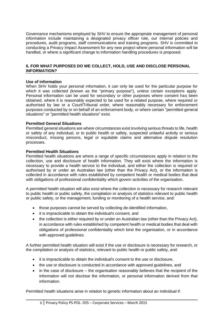Governance mechanisms employed by SHV to ensure the appropriate management of personal information include maintaining a designated privacy officer role, our internal policies and procedures, audit programs, staff communications and training programs. SHV is committed to conducting a Privacy Impact Assessment for any new project where personal information will be handled, or where a significant change to information handling procedures is proposed.

### **6. FOR WHAT PURPOSES DO WE COLLECT, HOLD, USE AND DISCLOSE PERSONAL INFORMATION?**

#### **Use of information**

When SHV holds your personal information, it can only be used for the particular purpose for which it was collected (known as the "primary purpose"), unless certain exceptions apply. Personal information can be used for secondary or other purposes where consent has been obtained, where it is reasonably expected to be used for a related purpose, where required or authorised by law or a Court/Tribunal order, where reasonably necessary for enforcement purposes conducted by or on behalf of an enforcement body, or where certain "permitted general situations" or "permitted health situations" exist.

#### **Permitted General Situations**

Permitted general situations are where circumstances exist involving serious threats to life, health or safety of any individual, or to public health or safety, suspected unlawful activity or serious misconduct, missing persons, legal or equitable claims and alternative dispute resolution processes.

#### **Permitted Health Situations**

Permitted health situations are where a range of specific circumstances apply in relation to the collection, use and disclosure of health information. They will exist where the information is necessary to provide a health service to the individual, and either the collection is required or authorised by or under an Australian law (other than the Privacy Act), or the information is collected in accordance with rules established by competent health or medical bodies that deal with obligations of professional confidentiality which govern activities of the organisation.

A permitted health situation will also exist where the collection is necessary for research relevant to public health or public safety, the compilation or analysis of statistics relevant to public health or public safety, or the management, funding or monitoring of a health service, and:

- those purposes cannot be served by collecting de-identified information,
- it is impracticable to obtain the individual's consent, and
- the collection is either required by or under an Australian law (other than the Privacy Act), in accordance with rules established by competent health or medical bodies that deal with obligations of professional confidentiality which bind the organisation, or in accordance with approved guidelines.

A further permitted health situation will exist if the use or disclosure is necessary for research, or the compilation or analysis of statistics, relevant to public health or public safety, and:

- it is impracticable to obtain the individual's consent to the use or disclosure,
- the use or disclosure is conducted in accordance with approved quidelines, and
- in the case of disclosure the organisation reasonably believes that the recipient of the information will not disclose the information, or personal information derived from that information.

Permitted health situations arise in relation to genetic information about an individual if: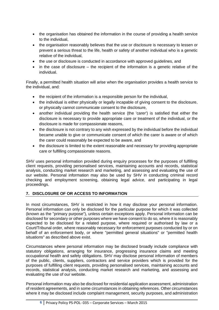- the organisation has obtained the information in the course of providing a health service to the individual,
- the organisation reasonably believes that the use or disclosure is necessary to lessen or prevent a serious threat to the life, health or safety of another individual who is a genetic relative of the individual,
- the use or disclosure is conducted in accordance with approved guidelines, and
- in the case of disclosure the recipient of the information is a genetic relative of the individual.

Finally, a permitted health situation will arise when the organisation provides a health service to the individual, and:

- the recipient of the information is a responsible person for the individual,
- the individual is either physically or legally incapable of giving consent to the disclosure, or physically cannot communicate consent to the disclosure,
- another individual providing the health service (the 'carer') is satisfied that either the disclosure is necessary to provide appropriate care or treatment of the individual, or the disclosure is made for compassionate reasons,
- the disclosure is not contrary to any wish expressed by the individual before the individual became unable to give or communicate consent of which the carer is aware or of which the carer could reasonably be expected to be aware, and
- the disclosure is limited to the extent reasonable and necessary for providing appropriate care or fulfilling compassionate reasons.

SHV uses personal information provided during enquiry processes for the purposes of fulfilling client requests, providing personalised services, maintaining accounts and records, statistical analysis, conducting market research and marketing, and assessing and evaluating the use of our website. Personal information may also be used by SHV in conducting criminal record checking and employment screening, obtaining legal advice, and participating in legal proceedings.

## **7. DISCLOSURE OF OR ACCESS TO INFORMATION**

In most circumstances, SHV is restricted in how it may disclose your personal information. Personal information can only be disclosed for the particular purpose for which it was collected (known as the "primary purpose"), unless certain exceptions apply. Personal information can be disclosed for secondary or other purposes where we have consent to do so, where it is reasonably expected to be disclosed for a related purpose, where required or authorised by law or a Court/Tribunal order, where reasonably necessary for enforcement purposes conducted by or on behalf of an enforcement body, or where "permitted general situations" or "permitted health situations" as described above exist.

Circumstances where personal information may be disclosed broadly include compliance with statutory obligations, arranging for insurance, progressing insurance claims and meeting occupational health and safety obligations. SHV may disclose personal information of members of the public, clients, suppliers, contractors and service providers which is provided for the purposes of fulfilling client requests, providing personalised services, maintaining accounts and records, statistical analysis, conducting market research and marketing, and assessing and evaluating the use of our website.

Personal information may also be disclosed for residential application assessment, administration of resident agreements, and in some circumstances in obtaining references. Other circumstances where it may be disclosed include complaint management, security purposes, and administration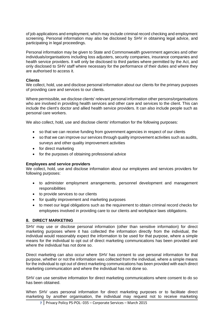of job applications and employment, which may include criminal record checking and employment screening. Personal information may also be disclosed by SHV in obtaining legal advice, and participating in legal proceedings.

Personal information may be given to State and Commonwealth government agencies and other individuals/organisations including loss adjusters, security companies, insurance companies and health service providers. It will only be disclosed to third parties where permitted by the Act, and only disclosed to SHV staff where necessary for the performance of their duties and where they are authorised to access it.

### **Clients**

We collect, hold, use and disclose personal information about our clients for the primary purposes of providing care and services to our clients.

Where permissible, we disclose clients' relevant personal information other persons/organisations who are involved in providing health services and other care and services to the client. This can include the client's doctor and allied health service providers. It can also include people such as personal care workers.

We also collect, hold, use and disclose clients' information for the following purposes:

- so that we can receive funding from government agencies in respect of our clients
- so that we can improve our services through quality improvement activities such as audits, surveys and other quality improvement activities
- for direct marketing
- for the purposes of obtaining professional advice

#### **Employees and service providers**

We collect, hold, use and disclose information about our employees and services providers for following purposes:

- to administer employment arrangements, personnel development and management responsibilities
- to provide services to our clients
- for quality improvement and marketing purposes
- to meet our legal obligations such as the requirement to obtain criminal record checks for employees involved in providing care to our clients and workplace laws obligations.

#### **8. DIRECT MARKETING**

SHV may use or disclose personal information (other than sensitive information) for direct marketing purposes where it has collected the information directly from the individual, the individual would reasonably expect the information to be used for that purpose, where a simple means for the individual to opt out of direct marketing communications has been provided and where the individual has not done so.

Direct marketing can also occur where SHV has consent to use personal information for that purpose, whether or not the information was collected from the individual, where a simple means for the individual to opt out of direct marketing communications has been provided with each direct marketing communication and where the individual has not done so.

SHV can use sensitive information for direct marketing communications where consent to do so has been obtained.

When SHV uses personal information for direct marketing purposes or to facilitate direct marketing by another organisation, the individual may request not to receive marketing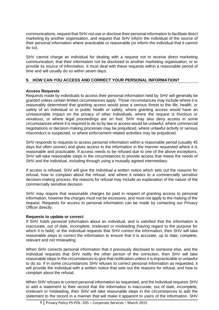communications, request that SHV not use or disclose their personal information to facilitate direct marketing by another organisation, and request that SHV inform the individual of the source of their personal information where practicable or reasonable (or inform the individual that it cannot do so).

SHV cannot charge an individual for dealing with a request not to receive direct marketing communication, that their information not be disclosed to another marketing organisation, or to provide its source of information. It must deal with these requests within a reasonable period of time and will usually do so within seven days.

## **9. HOW CAN YOU ACCESS AND CORRECT YOUR PERSONAL INFORMATION?**

### **Access Requests**

Requests made by individuals to access their personal information held by SHV will generally be granted unless certain limited circumstances apply. Those circumstances may include where it is reasonably determined that granting access would pose a serious threat to the life, health, or safety of an individual or to public health or safety, where granting access would have an unreasonable impact on the privacy of other individuals, where the request is frivolous or vexatious, or where legal proceedings are on foot. SHV may also deny access in some circumstances where it is required to do so by law or access would be unlawful, where commercial negotiations or decision-making processes may be prejudiced, where unlawful activity or serious misconduct is suspected, or where enforcement related activities may be prejudiced.

SHV responds to requests to access personal information within a reasonable period (usually 45 days but often sooner) and gives access to the information in the manner requested where it is reasonable and practicable. If access needs to be refused due to one of the above exceptions, SHV will take reasonable steps in the circumstances to provide access that meets the needs of SHV and the individual, including through using a mutually agreed intermediary.

If access is refused, SHV will give the individual a written notice which sets out the reasons for refusal, how to complain about the refusal, and where it relates to a commercially sensitive decision-making process, the reasons for refusal may include an explanation of the nature of the commercially sensitive decision.

SHV may require that reasonable charges be paid in respect of granting access to personal information, however the charges must not be excessive, and must not apply to the making of the request. Requests for access to personal information can be made by contacting our Privacy Officer directly.

#### **Requests to update or correct**

If SHV holds personal information about an individual, and is satisfied that the information is inaccurate, out of date, incomplete, irrelevant or misleading (having regard to the purpose for which it is held), or the individual requests that SHV correct the information, then SHV will take reasonable steps to correct the information to ensure that it is accurate, up to date, complete, relevant and not misleading.

When SHV corrects personal information that it previously disclosed to someone else, and the individual requests that SHV notify the other person of the correction, then SHV will take reasonable steps in the circumstances to give that notification unless it is impracticable or unlawful to do so. If in some circumstances SHV refuses to correct personal information as requested, it will provide the individual with a written notice that sets out the reasons for refusal, and how to complain about the refusal.

When SHV refuses to correct personal information as requested, and the individual requests SHV to add a statement to their record that the information is inaccurate, out of date, incomplete, irrelevant or misleading, then SHV will take reasonable steps in the circumstances to add the statement to the record in a manner that will make it apparent to users of the information. SHV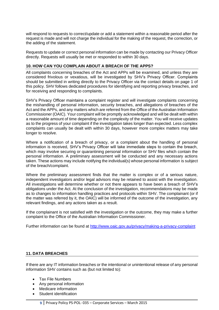will respond to requests to correct/update or add a statement within a reasonable period after the request is made and will not charge the individual for the making of the request, the correction, or the adding of the statement.

Requests to update or correct personal information can be made by contacting our Privacy Officer directly. Requests will usually be met or responded to within 30 days.

### **10. HOW CAN YOU COMPLAIN ABOUT A BREACH OF THE APPS?**

All complaints concerning breaches of the Act and APPs will be examined, and unless they are considered frivolous or vexatious, will be investigated by SHV's Privacy Officer. Complaints should be submitted in writing directly to the Privacy Officer via the contact details on page 1 of this policy. SHV follows dedicated procedures for identifying and reporting privacy breaches, and for receiving and responding to complaints.

SHV's Privacy Officer maintains a complaint register and will investigate complaints concerning the mishandling of personal information, security breaches, and allegations of breaches of the Act and the APPs, and any matters which are referred from the Office of the Australian Information Commissioner (OAIC). Your complaint will be promptly acknowledged and will be dealt with within a reasonable amount of time depending on the complexity of the matter. You will receive updates as to the progress of your complaint if the investigation takes longer than expected. Less complex complaints can usually be dealt with within 30 days, however more complex matters may take longer to resolve.

Where a notification of a breach of privacy, or a complaint about the handling of personal information is received, SHV's Privacy Officer will take immediate steps to contain the breach, which may involve securing or quarantining personal information or SHV files which contain the personal information. A preliminary assessment will be conducted and any necessary actions taken. These actions may include notifying the individual(s) whose personal information is subject of the breach/complaint.

Where the preliminary assessment finds that the matter is complex or of a serious nature, independent investigators and/or legal advisors may be retained to assist with the investigation. All investigations will determine whether or not there appears to have been a breach of SHV's obligations under the Act. At the conclusion of the investigation, recommendations may be made as to changes to information handling practices and protocols within SHV. The complainant (or if the matter was referred by it, the OAIC) will be informed of the outcome of the investigation, any relevant findings, and any actions taken as a result.

If the complainant is not satisfied with the investigation or the outcome, they may make a further complaint to the Office of the Australian Information Commissioner.

Further information can be found at<http://www.oaic.gov.au/privacy/making-a-privacy-complaint>

#### **11. DATA BREACHES**

If there are any IT information breaches or the intentional or unintentional release of any personal information SHV contains such as (but not limited to):

- Tax File Numbers
- Any personal information
- Medicare information
- Student identification